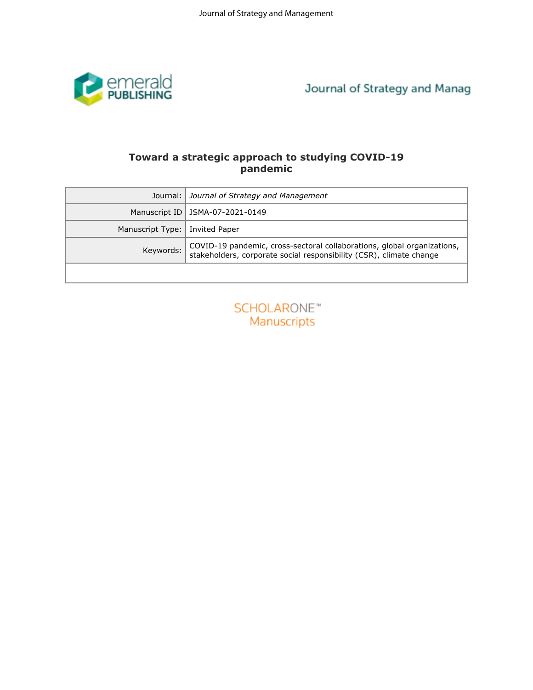

# **Toward a strategic approach to studying COVID-19 pandemic**

| Journal of Strategy and Manag                                                                                                                               |  |  |  |  |  |  |  |
|-------------------------------------------------------------------------------------------------------------------------------------------------------------|--|--|--|--|--|--|--|
| Toward a strategic approach to studying COVID-19<br>pandemic                                                                                                |  |  |  |  |  |  |  |
| Journal of Strategy and Management                                                                                                                          |  |  |  |  |  |  |  |
| JSMA-07-2021-0149                                                                                                                                           |  |  |  |  |  |  |  |
| <b>Invited Paper</b><br>Manuscript Type:                                                                                                                    |  |  |  |  |  |  |  |
| COVID-19 pandemic, cross-sectoral collaborations, global organizations,<br>Keywords:<br>stakeholders, corporate social responsibility (CSR), climate change |  |  |  |  |  |  |  |
|                                                                                                                                                             |  |  |  |  |  |  |  |
| SCHOLARONE <sup>®</sup><br>Manuscripts                                                                                                                      |  |  |  |  |  |  |  |
|                                                                                                                                                             |  |  |  |  |  |  |  |

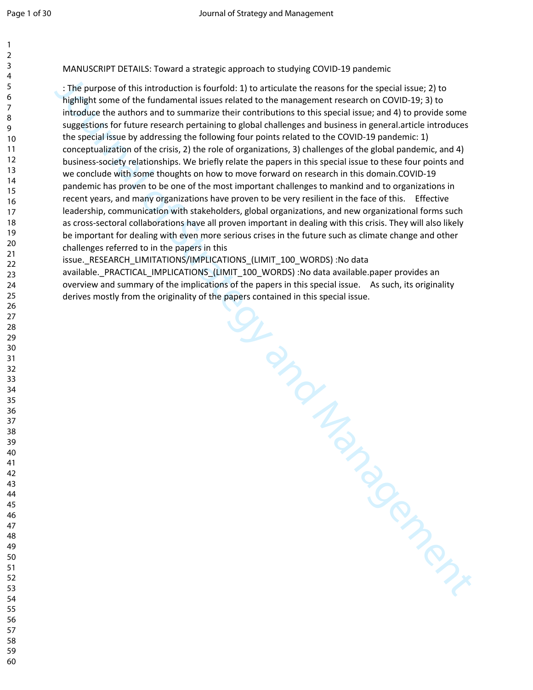| 1                                  |  |
|------------------------------------|--|
| 3                                  |  |
| 4<br>5                             |  |
| 6<br>7                             |  |
| 8                                  |  |
| .<br>9<br>$\overline{10}$          |  |
| $\overline{11}$                    |  |
| 12<br>13<br>14                     |  |
|                                    |  |
| $\frac{1}{2}$<br>16<br>17          |  |
| 18                                 |  |
| $\frac{18}{19}$                    |  |
| $\overline{20}$<br>$\overline{21}$ |  |
| 22<br>3<br>$\overline{c}$          |  |
| 4<br>$\overline{2}$                |  |
| $^{25}$<br>$\frac{26}{5}$          |  |
| $^{27}$                            |  |
| 28<br>29                           |  |
| 30<br>$\overline{\phantom{0}}$     |  |
| $^{32}$                            |  |
| 33<br>$\frac{34}{5}$               |  |
| S<br>5                             |  |
| $\frac{36}{5}$<br>37               |  |
| 39                                 |  |
| 40                                 |  |
| 41<br>42                           |  |
| 43<br>44                           |  |
| 45                                 |  |
| 46<br>47                           |  |
| 48<br>49                           |  |
| 50                                 |  |
| 51<br>52                           |  |
| 53                                 |  |
| 54<br>55                           |  |
| 56                                 |  |

MANUSCRIPT DETAILS: Toward a strategic approach to studying COVID-19 pandemic

: The purpose of this introduction is fourfold: 1) to articulate the reasons for the special issue; 2) to highlight some of the fundamental issues related to the management research on COVID-19; 3) to introduce the authors and to summarize their contributions to this special issue; and 4) to provide some suggestions for future research pertaining to global challenges and business in general.article introduces the special issue by addressing the following four points related to the COVID-19 pandemic: 1) conceptualization of the crisis, 2) the role of organizations, 3) challenges of the global pandemic, and 4) business-society relationships. We briefly relate the papers in this special issue to these four points and we conclude with some thoughts on how to move forward on research in this domain.COVID-19 pandemic has proven to be one of the most important challenges to mankind and to organizations in recent years, and many organizations have proven to be very resilient in the face of this. Effective leadership, communication with stakeholders, global organizations, and new organizational forms such as cross-sectoral collaborations have all proven important in dealing with this crisis. They will also likely be important for dealing with even more serious crises in the future such as climate change and other challenges referred to in the papers in this

Journal of Scontianed Contraction Contraction issue. RESEARCH\_LIMITATIONS/IMPLICATIONS (LIMIT\_100\_WORDS) :No data available. PRACTICAL IMPLICATIONS (LIMIT 100 WORDS) :No data available.paper provides an overview and summary of the implications of the papers in this special issue. As such, its originality derives mostly from the originality of the papers contained in this special issue.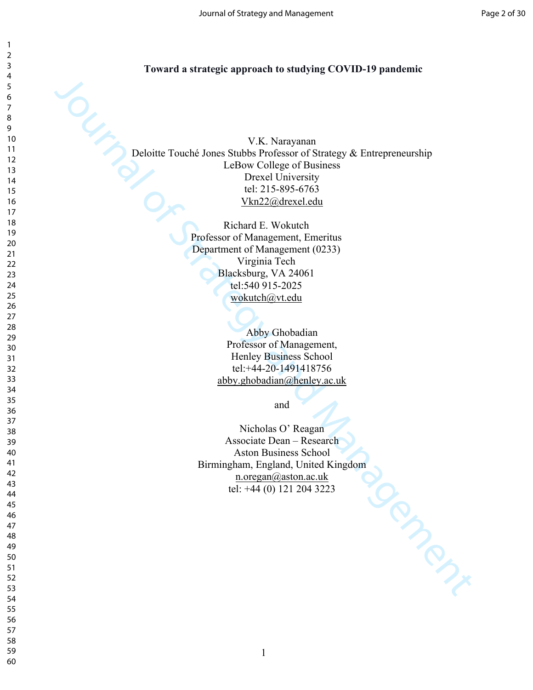#### **Toward a strategic approach to studying COVID-19 pandemic**

V.K. Narayaman<br>
U.K. Narayaman<br>
LeHaw Calluge of Business<br>
LeHaw Calluge of Business<br>
Devel Ulmversity & Entrepreneurship<br>
tet 2.15-895-6763<br>
ValaZ2@drexet.edu<br>
The Iclica[nd](mailto:abby.ghobadian@henley.ac.uk) E. Western<br>
Professor of Management, Energins<br> V.K. Narayanan Deloitte Touché Jones Stubbs Professor of Strategy & Entrepreneurship LeBow College of Business Drexel University tel: 215-895-6763 Vkn22@drexel.edu

Richard E. Wokutch Professor of Management, Emeritus Department of Management (0233) Virginia Tech Blacksburg, VA 24061 tel:540 915-2025 wokutch@vt.edu

> Abby Ghobadian Professor of Management, Henley Business School tel:+44-20-1491418756 abby.ghobadian@henley.ac.uk

> > and

Nicholas O' Reagan Associate Dean – Research Aston Business School Birmingham, England, United Kingdom n.oregan@aston.ac.uk tel: +44 (0) 121 204 3223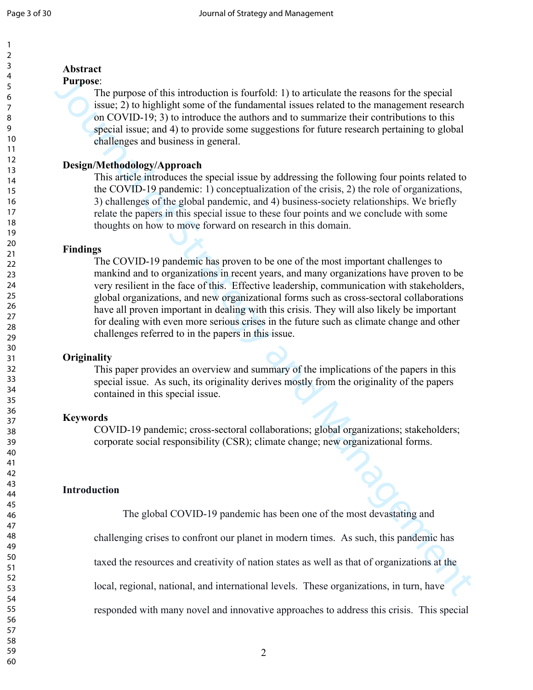# **Abstract**

## **Purpose**:

The purpose of this introduction is fourfold: 1) to articulate the reasons for the special issue; 2) to highlight some of the fundamental issues related to the management research on COVID-19; 3) to introduce the authors and to summarize their contributions to this special issue; and 4) to provide some suggestions for future research pertaining to global challenges and business in general.

# **Design/Methodology/Approach**

This article introduces the special issue by addressing the following four points related to the COVID-19 pandemic: 1) conceptualization of the crisis, 2) the role of organizations, 3) challenges of the global pandemic, and 4) business-society relationships. We briefly relate the papers in this special issue to these four points and we conclude with some thoughts on how to move forward on research in this domain.

# **Findings**

**Purpose** of this introduction is fourtiold: 1) to articulate the trassons for the special<br>issue. The purpose of this timedamental issues related to the management research<br>on COVID-19, 3) to introduce the numbros and to The COVID-19 pandemic has proven to be one of the most important challenges to mankind and to organizations in recent years, and many organizations have proven to be very resilient in the face of this. Effective leadership, communication with stakeholders, global organizations, and new organizational forms such as cross-sectoral collaborations have all proven important in dealing with this crisis. They will also likely be important for dealing with even more serious crises in the future such as climate change and other challenges referred to in the papers in this issue.

## **Originality**

This paper provides an overview and summary of the implications of the papers in this special issue. As such, its originality derives mostly from the originality of the papers contained in this special issue.

## **Keywords**

COVID-19 pandemic; cross-sectoral collaborations; global organizations; stakeholders; corporate social responsibility (CSR); climate change; new organizational forms.

# **Introduction**

The global COVID-19 pandemic has been one of the most devastating and

challenging crises to confront our planet in modern times. As such, this pandemic has

taxed the resources and creativity of nation states as well as that of organizations at the

local, regional, national, and international levels. These organizations, in turn, have

responded with many novel and innovative approaches to address this crisis. This special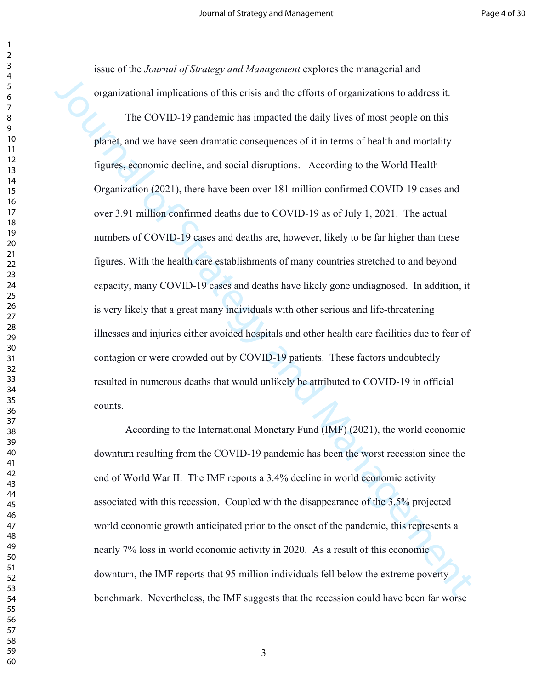issue of the *Journal of Strategy and Management* explores the managerial and organizational implications of this crisis and the efforts of organizations to address it.

organizational implications of this crisis and the cribris of examizations to address it.<br>The COVID-19 pandemic has impacted the daily lives of most people on this<br>planet, and we have seen dramatic corresquences of it in t The COVID-19 pandemic has impacted the daily lives of most people on this planet, and we have seen dramatic consequences of it in terms of health and mortality figures, economic decline, and social disruptions. According to the World Health Organization (2021), there have been over 181 million confirmed COVID-19 cases and over 3.91 million confirmed deaths due to COVID-19 as of July 1, 2021. The actual numbers of COVID-19 cases and deaths are, however, likely to be far higher than these figures. With the health care establishments of many countries stretched to and beyond capacity, many COVID-19 cases and deaths have likely gone undiagnosed. In addition, it is very likely that a great many individuals with other serious and life-threatening illnesses and injuries either avoided hospitals and other health care facilities due to fear of contagion or were crowded out by COVID-19 patients. These factors undoubtedly resulted in numerous deaths that would unlikely be attributed to COVID-19 in official counts.

According to the International Monetary Fund (IMF) (2021), the world economic downturn resulting from the COVID-19 pandemic has been the worst recession since the end of World War II. The IMF reports a 3.4% decline in world economic activity associated with this recession. Coupled with the disappearance of the 3.5% projected world economic growth anticipated prior to the onset of the pandemic, this represents a nearly 7% loss in world economic activity in 2020. As a result of this economic downturn, the IMF reports that 95 million individuals fell below the extreme poverty benchmark. Nevertheless, the IMF suggests that the recession could have been far worse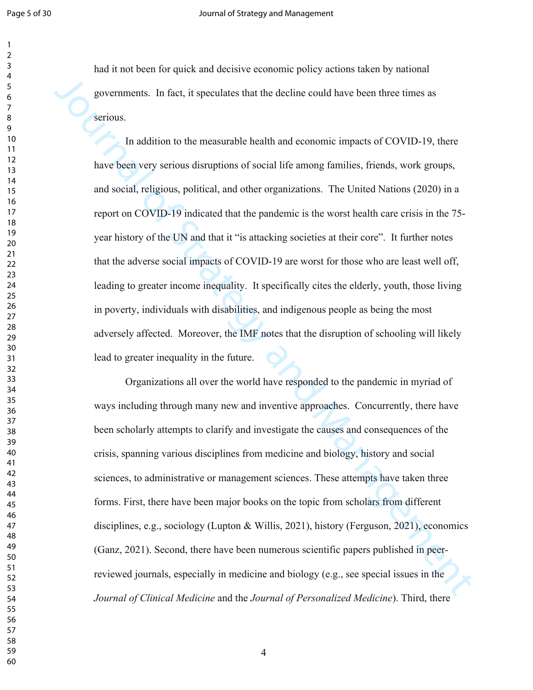had it not been for quick and decisive economic policy actions taken by national governments. In fact, it speculates that the decline could have been three times as serious.

governments. In fact, it speculates that the decline could have been three times as<br>serious.<br>In addition to the measurable bealth and economic impacts of COVID-19, there<br>have been very serious disruptions of social life am In addition to the measurable health and economic impacts of COVID-19, there have been very serious disruptions of social life among families, friends, work groups, and social, religious, political, and other organizations. The United Nations (2020) in a report on COVID-19 indicated that the pandemic is the worst health care crisis in the 75 year history of the UN and that it "is attacking societies at their core". It further notes that the adverse social impacts of COVID-19 are worst for those who are least well off, leading to greater income inequality. It specifically cites the elderly, youth, those living in poverty, individuals with disabilities, and indigenous people as being the most adversely affected. Moreover, the IMF notes that the disruption of schooling will likely lead to greater inequality in the future.

Organizations all over the world have responded to the pandemic in myriad of ways including through many new and inventive approaches. Concurrently, there have been scholarly attempts to clarify and investigate the causes and consequences of the crisis, spanning various disciplines from medicine and biology, history and social sciences, to administrative or management sciences. These attempts have taken three forms. First, there have been major books on the topic from scholars from different disciplines, e.g., sociology (Lupton & Willis, 2021), history (Ferguson, 2021), economics (Ganz, 2021). Second, there have been numerous scientific papers published in peerreviewed journals, especially in medicine and biology (e.g., see special issues in the *Journal of Clinical Medicine* and the *Journal of Personalized Medicine*). Third, there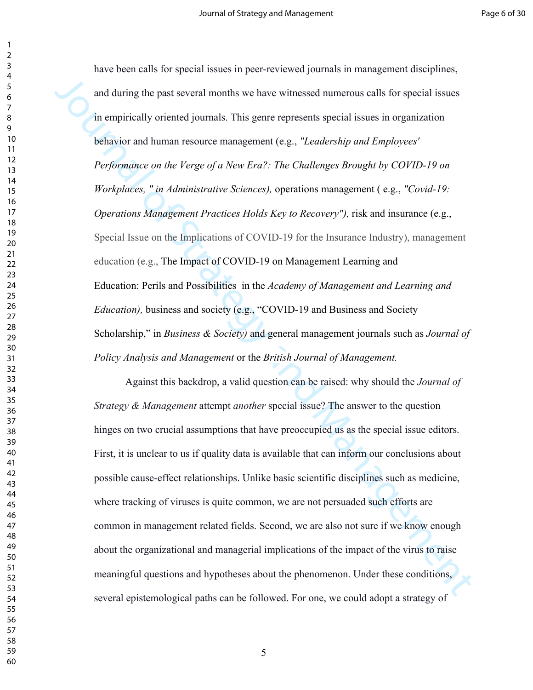and during the past several months we have witnessed numerous calls for special issues<br>in empirically oriented journals. This genre represents special issues in organization<br>behavior and human resource management (e.g., have been calls for special issues in peer-reviewed journals in management disciplines, and during the past several months we have witnessed numerous calls for special issues in empirically oriented journals. This genre represents special issues in organization behavior and human resource management (e.g., *"Leadership and Employees' Performance on the Verge of a New Era?: The Challenges Brought by COVID-19 on Workplaces, " in Administrative Sciences),* operations management ( e.g., *"Covid-19: Operations Management Practices Holds Key to Recovery"),* risk and insurance (e.g., Special Issue on the Implications of COVID-19 for the Insurance Industry), management education (e.g., The Impact of COVID-19 on Management Learning and Education: Perils and Possibilities in the *Academy of Management and Learning and Education),* business and society (e.g., "COVID-19 and Business and Society Scholarship," in *Business & Society)* and general management journals such as *Journal of Policy Analysis and Management* or the *British Journal of Management.* 

Against this backdrop, a valid question can be raised: why should the *Journal of Strategy & Management* attempt *another* special issue? The answer to the question hinges on two crucial assumptions that have preoccupied us as the special issue editors. First, it is unclear to us if quality data is available that can inform our conclusions about possible cause-effect relationships. Unlike basic scientific disciplines such as medicine, where tracking of viruses is quite common, we are not persuaded such efforts are common in management related fields. Second, we are also not sure if we know enough about the organizational and managerial implications of the impact of the virus to raise meaningful questions and hypotheses about the phenomenon. Under these conditions, several epistemological paths can be followed. For one, we could adopt a strategy of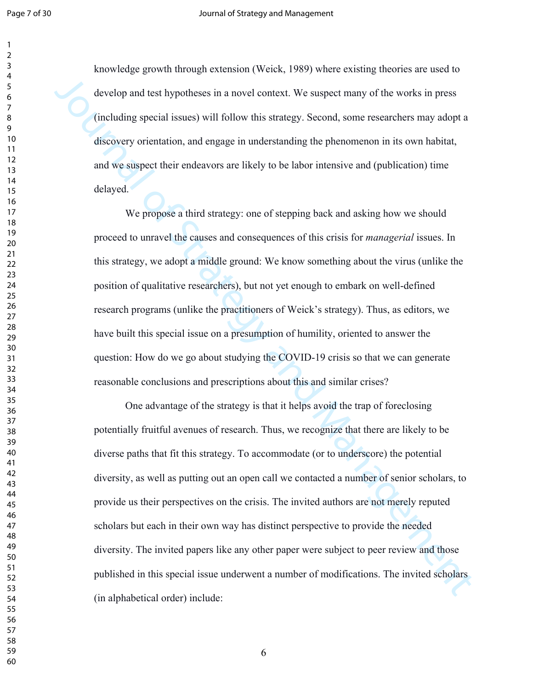knowledge growth through extension (Weick, 1989) where existing theories are used to develop and test hypotheses in a novel context. We suspect many of the works in press (including special issues) will follow this strategy. Second, some researchers may adopt a discovery orientation, and engage in understanding the phenomenon in its own habitat, and we suspect their endeavors are likely to be labor intensive and (publication) time delayed.

We propose a third strategy: one of stepping back and asking how we should proceed to unravel the causes and consequences of this crisis for *managerial* issues. In this strategy, we adopt a middle ground: We know something about the virus (unlike the position of qualitative researchers), but not yet enough to embark on well-defined research programs (unlike the practitioners of Weick's strategy). Thus, as editors, we have built this special issue on a presumption of humility, oriented to answer the question: How do we go about studying the COVID-19 crisis so that we can generate reasonable conclusions and prescriptions about this and similar crises?

develop and test hypotheses in a novel context. We suspect many of the works in press<br>
(including special issues) will follow this strategy. Second, some researchers may adopt a<br>
discuvery unicmation, and engage in underst One advantage of the strategy is that it helps avoid the trap of foreclosing potentially fruitful avenues of research. Thus, we recognize that there are likely to be diverse paths that fit this strategy. To accommodate (or to underscore) the potential diversity, as well as putting out an open call we contacted a number of senior scholars, to provide us their perspectives on the crisis. The invited authors are not merely reputed scholars but each in their own way has distinct perspective to provide the needed diversity. The invited papers like any other paper were subject to peer review and those published in this special issue underwent a number of modifications. The invited scholars (in alphabetical order) include: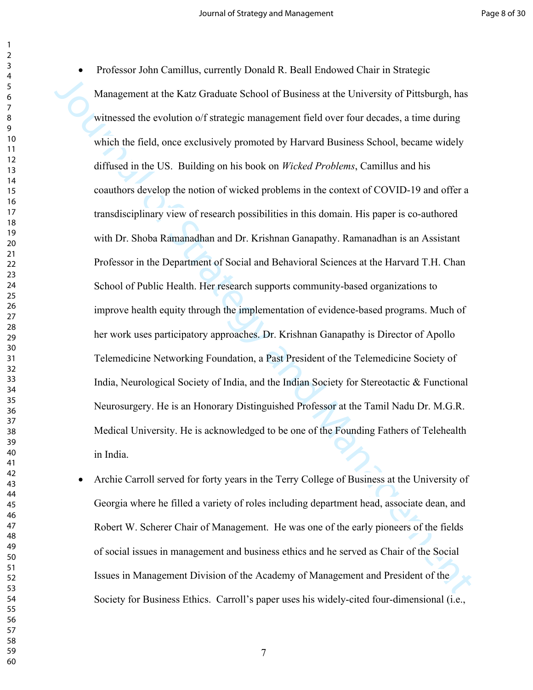Management at the Katz Graduate School of Business at the University of Pittsburgh, has<br>witnessed the evolution of strategic management field over four deceadss, a time during<br>which the field, once exclusively promoted by • Professor John Camillus, currently Donald R. Beall Endowed Chair in Strategic Management at the Katz Graduate School of Business at the University of Pittsburgh, has witnessed the evolution of strategic management field over four decades, a time during which the field, once exclusively promoted by Harvard Business School, became widely diffused in the US. Building on his book on *Wicked Problems*, Camillus and his coauthors develop the notion of wicked problems in the context of COVID-19 and offer a transdisciplinary view of research possibilities in this domain. His paper is co-authored with Dr. Shoba Ramanadhan and Dr. Krishnan Ganapathy. Ramanadhan is an Assistant Professor in the Department of Social and Behavioral Sciences at the Harvard T.H. Chan School of Public Health. Her research supports community-based organizations to improve health equity through the implementation of evidence-based programs. Much of her work uses participatory approaches. Dr. Krishnan Ganapathy is Director of Apollo Telemedicine Networking Foundation, a Past President of the Telemedicine Society of India, Neurological Society of India, and the Indian Society for Stereotactic & Functional Neurosurgery. He is an Honorary Distinguished Professor at the Tamil Nadu Dr. M.G.R. Medical University. He is acknowledged to be one of the Founding Fathers of Telehealth in India.

 Archie Carroll served for forty years in the Terry College of Business at the University of Georgia where he filled a variety of roles including department head, associate dean, and Robert W. Scherer Chair of Management. He was one of the early pioneers of the fields of social issues in management and business ethics and he served as Chair of the Social Issues in Management Division of the Academy of Management and President of the Society for Business Ethics. Carroll's paper uses his widely-cited four-dimensional (i.e.,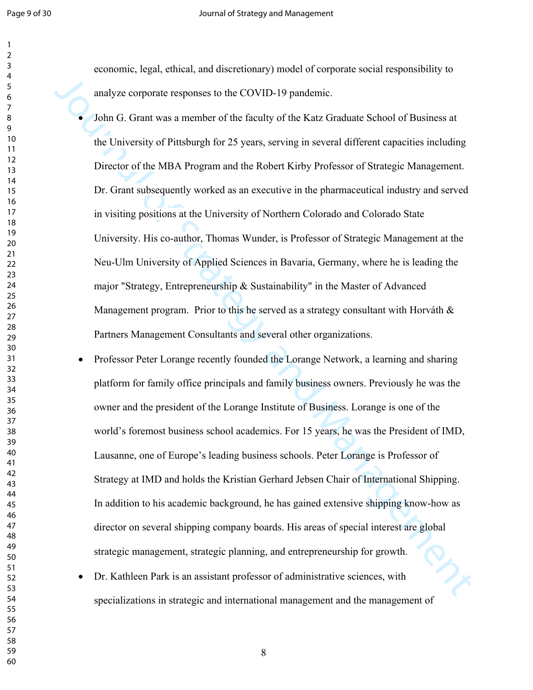economic, legal, ethical, and discretionary) model of corporate social responsibility to analyze corporate responses to the COVID-19 pandemic.

analyze corporate responses to the COVID-19 pandemic.<br>
John G. Grant was a member of the fieldly of the Karz Graduate School of Business at<br>
the University of Pittsburgh for 25 years, serving in several different capaciti John G. Grant was a member of the faculty of the Katz Graduate School of Business at the University of Pittsburgh for 25 years, serving in several different capacities including Director of the MBA Program and the Robert Kirby Professor of Strategic Management. Dr. Grant subsequently worked as an executive in the pharmaceutical industry and served in visiting positions at the University of Northern Colorado and Colorado State University. His co-author, Thomas Wunder, is Professor of Strategic Management at the Neu-Ulm University of Applied Sciences in Bavaria, Germany, where he is leading the major "Strategy, Entrepreneurship & Sustainability" in the Master of Advanced Management program. Prior to this he served as a strategy consultant with Horváth  $\&$ Partners Management Consultants and several other organizations.

- Professor Peter Lorange recently founded the Lorange Network, a learning and sharing platform for family office principals and family business owners. Previously he was the owner and the president of the Lorange Institute of Business. Lorange is one of the world's foremost business school academics. For 15 years, he was the President of IMD, Lausanne, one of Europe's leading business schools. Peter Lorange is Professor of Strategy at IMD and holds the Kristian Gerhard Jebsen Chair of International Shipping. In addition to his academic background, he has gained extensive shipping know-how as director on several shipping company boards. His areas of special interest are global strategic management, strategic planning, and entrepreneurship for growth.
- Dr. Kathleen Park is an assistant professor of administrative sciences, with strategic management, suategic politicalizations in strategic and international management and the management of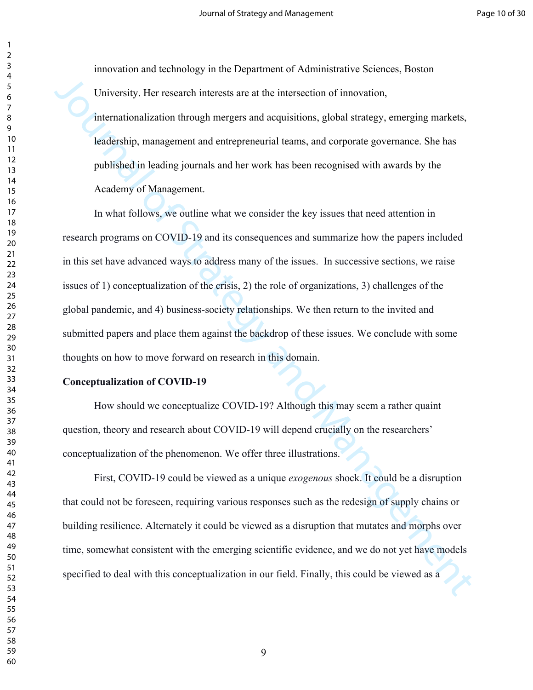innovation and technology in the Department of Administrative Sciences, Boston University. Her research interests are at the intersection of innovation, internationalization through mergers and acquisitions, global strategy, emerging markets, leadership, management and entrepreneurial teams, and corporate governance. She has published in leading journals and her work has been recognised with awards by the Academy of Management.

University. Her research interests are at the intersection of innovation,<br>internationalization through mergers and acquisitions, global strategy, emerging markets,<br>leadership, management and entropreneurial teams, and corp In what follows, we outline what we consider the key issues that need attention in research programs on COVID-19 and its consequences and summarize how the papers included in this set have advanced ways to address many of the issues. In successive sections, we raise issues of 1) conceptualization of the crisis, 2) the role of organizations, 3) challenges of the global pandemic, and 4) business-society relationships. We then return to the invited and submitted papers and place them against the backdrop of these issues. We conclude with some thoughts on how to move forward on research in this domain.

#### **Conceptualization of COVID-19**

How should we conceptualize COVID-19? Although this may seem a rather quaint question, theory and research about COVID-19 will depend crucially on the researchers' conceptualization of the phenomenon. We offer three illustrations.

First, COVID-19 could be viewed as a unique *exogenous* shock. It could be a disruption that could not be foreseen, requiring various responses such as the redesign of supply chains or building resilience. Alternately it could be viewed as a disruption that mutates and morphs over time, somewhat consistent with the emerging scientific evidence, and we do not yet have models specified to deal with this conceptualization in our field. Finally, this could be viewed as a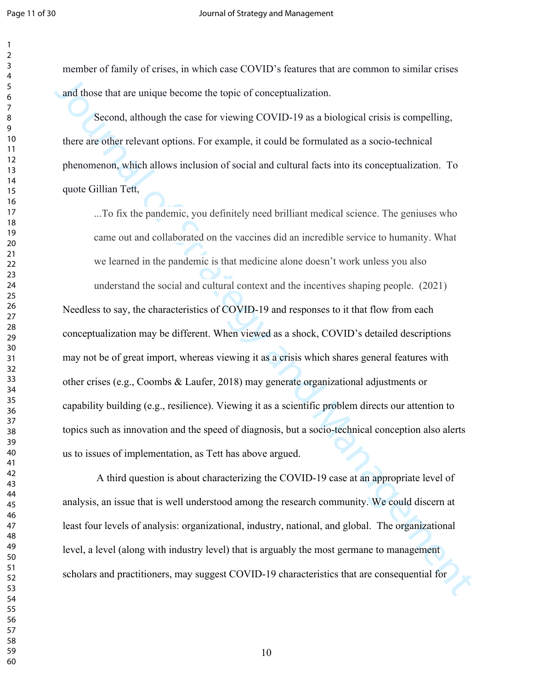member of family of crises, in which case COVID's features that are common to similar crises and those that are unique become the topic of conceptualization.

Second, although the case for viewing COVID-19 as a biological crisis is compelling, there are other relevant options. For example, it could be formulated as a socio-technical phenomenon, which allows inclusion of social and cultural facts into its conceptualization. To quote Gillian Tett,

...To fix the pandemic, you definitely need brilliant medical science. The geniuses who came out and collaborated on the vaccines did an incredible service to humanity. What we learned in the pandemic is that medicine alone doesn't work unless you also

and those that are unique become the topic of conecptualization.<br>
Second, although the case for viewing COVID-19 as a biological crisis is compelling,<br>
there are other relevant options. For example, it could be formulated understand the social and cultural context and the incentives shaping people. (2021) Needless to say, the characteristics of COVID-19 and responses to it that flow from each conceptualization may be different. When viewed as a shock, COVID's detailed descriptions may not be of great import, whereas viewing it as a crisis which shares general features with other crises (e.g., Coombs & Laufer, 2018) may generate organizational adjustments or capability building (e.g., resilience). Viewing it as a scientific problem directs our attention to topics such as innovation and the speed of diagnosis, but a socio-technical conception also alerts us to issues of implementation, as Tett has above argued.

 A third question is about characterizing the COVID-19 case at an appropriate level of analysis, an issue that is well understood among the research community. We could discern at least four levels of analysis: organizational, industry, national, and global. The organizational level, a level (along with industry level) that is arguably the most germane to management scholars and practitioners, may suggest COVID-19 characteristics that are consequential for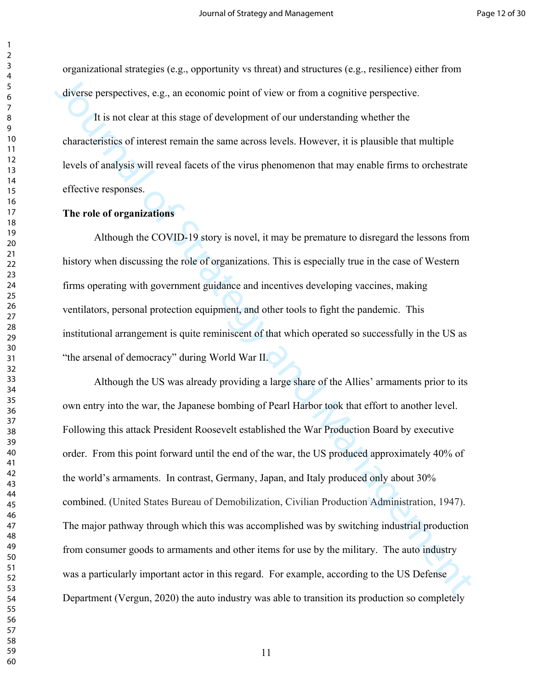organizational strategies (e.g., opportunity vs threat) and structures (e.g., resilience) either from diverse perspectives, e.g., an economic point of view or from a cognitive perspective.

It is not clear at this stage of development of our understanding whether the characteristics of interest remain the same across levels. However, it is plausible that multiple levels of analysis will reveal facets of the virus phenomenon that may enable firms to orchestrate effective responses.

## **The role of organizations**

Although the COVID-19 story is novel, it may be premature to disregard the lessons from history when discussing the role of organizations. This is especially true in the case of Western firms operating with government guidance and incentives developing vaccines, making ventilators, personal protection equipment, and other tools to fight the pandemic. This institutional arrangement is quite reminiscent of that which operated so successfully in the US as "the arsenal of democracy" during World War II.

diverse perspectives, e.g., an economic point of view or from a cognitive perspective.<br>
It is not clear at this stage of development of our understanding whether the<br>
characteristics of interest remain the same across lev Although the US was already providing a large share of the Allies' armaments prior to its own entry into the war, the Japanese bombing of Pearl Harbor took that effort to another level. Following this attack President Roosevelt established the War Production Board by executive order. From this point forward until the end of the war, the US produced approximately 40% of the world's armaments.In contrast, Germany, Japan, and Italy produced only about 30% combined. (United States Bureau of Demobilization, Civilian Production Administration, 1947). The major pathway through which this was accomplished was by switching industrial production from consumer goods to armaments and other items for use by the military. The auto industry was a particularly important actor in this regard. For example, according to the US Defense Department (Vergun, 2020) the auto industry was able to transition its production so completely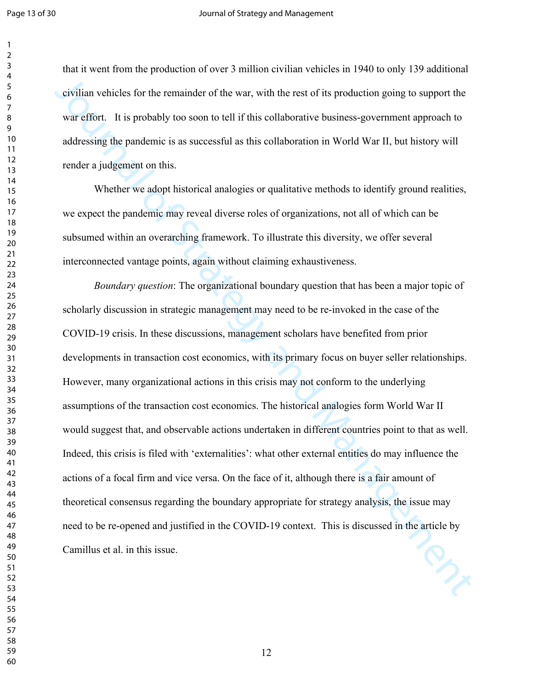that it went from the production of over 3 million civilian vehicles in 1940 to only 139 additional civilian vehicles for the remainder of the war, with the rest of its production going to support the war effort. It is probably too soon to tell if this collaborative business-government approach to addressing the pandemic is as successful as this collaboration in World War II, but history will render a judgement on this.

Whether we adopt historical analogies or qualitative methods to identify ground realities, we expect the pandemic may reveal diverse roles of organizations, not all of which can be subsumed within an overarching framework. To illustrate this diversity, we offer several interconnected vantage points, again without claiming exhaustiveness.

civilian vehicles for the remainder of the war, with the rest of its production going to support the war effort. It is probably too soon to tell if this collaborative business-government approach to addressing the paradem *Boundary question*: The organizational boundary question that has been a major topic of scholarly discussion in strategic management may need to be re-invoked in the case of the COVID-19 crisis. In these discussions, management scholars have benefited from prior developments in transaction cost economics, with its primary focus on buyer seller relationships. However, many organizational actions in this crisis may not conform to the underlying assumptions of the transaction cost economics. The historical analogies form World War II would suggest that, and observable actions undertaken in different countries point to that as well. Indeed, this crisis is filed with 'externalities': what other external entities do may influence the actions of a focal firm and vice versa. On the face of it, although there is a fair amount of theoretical consensus regarding the boundary appropriate for strategy analysis, the issue may need to be re-opened and justified in the COVID-19 context. This is discussed in the article by Camillus et al. in this issue.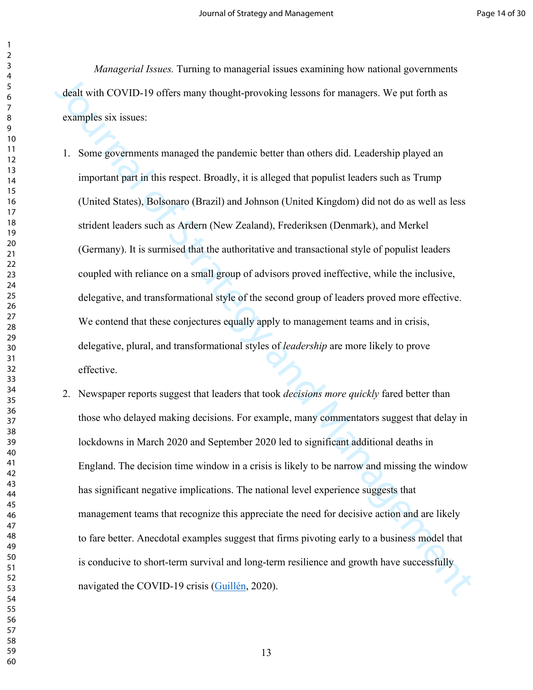*Managerial Issues.* Turning to managerial issues examining how national governments dealt with COVID-19 offers many thought-provoking lessons for managers. We put forth as examples six issues:

dealt with COVID-19 offers many thought-provoking lessons for managers. We put forth as<br>examples six issues:<br>1. Some governments managed the pandemic better than others did. I cardership played an<br>important part in this r 1. Some governments managed the pandemic better than others did. Leadership played an important part in this respect. Broadly, it is alleged that populist leaders such as Trump (United States), Bolsonaro (Brazil) and Johnson (United Kingdom) did not do as well as less strident leaders such as Ardern (New Zealand), Frederiksen (Denmark), and Merkel (Germany). It is surmised that the authoritative and transactional style of populist leaders coupled with reliance on a small group of advisors proved ineffective, while the inclusive, delegative, and transformational style of the second group of leaders proved more effective. We contend that these conjectures equally apply to management teams and in crisis, delegative, plural, and transformational styles of *leadership* are more likely to prove effective.

2. Newspaper reports suggest that leaders that took *decisions more quickly* fared better than those who delayed making decisions. For example, many commentators suggest that delay in lockdowns in March 2020 and September 2020 led to significant additional deaths in England. The decision time window in a crisis is likely to be narrow and missing the window has significant negative implications. The national level experience suggests that management teams that recognize this appreciate the need for decisive action and are likely to fare better. Anecdotal examples suggest that firms pivoting early to a business model that is conducive to short-term survival and long-term resilience and growth have successfully navigated the COVID-19 crisis (Guillén, 2020).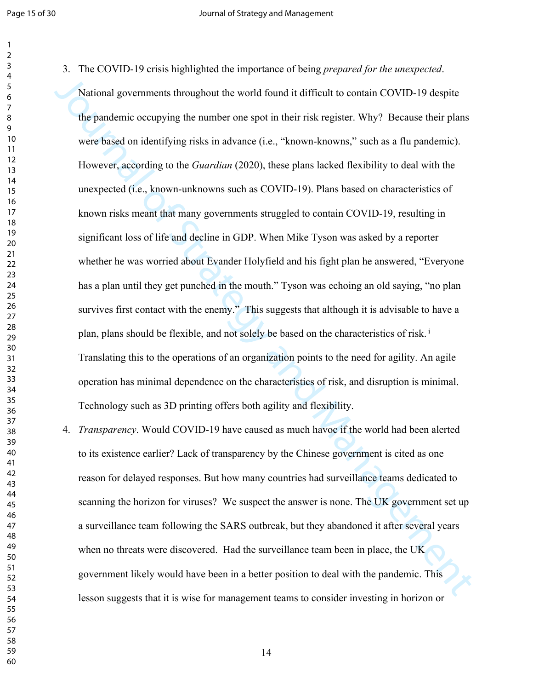National governments throughout the world found it difficult to contain COVID-19 despite<br>the pandemic occupying the number one spot in their risk register. Why? Because their plans<br>were based on identifying risks in advan 3. The COVID-19 crisis highlighted the importance of being *prepared for the unexpected*. National governments throughout the world found it difficult to contain COVID-19 despite the pandemic occupying the number one spot in their risk register. Why? Because their plans were based on identifying risks in advance (i.e., "known-knowns," such as a flu pandemic). However, according to the *Guardian* (2020), these plans lacked flexibility to deal with the unexpected (i.e., known-unknowns such as COVID-19). Plans based on characteristics of known risks meant that many governments struggled to contain COVID-19, resulting in significant loss of life and decline in GDP. When Mike Tyson was asked by a reporter whether he was worried about Evander Holyfield and his fight plan he answered, "Everyone has a plan until they get punched in the mouth." Tyson was echoing an old saying, "no plan survives first contact with the enemy." This suggests that although it is advisable to have a plan, plans should be flexible, and not solely be based on the characteristics of risk.<sup>i</sup> Translating this to the operations of an organization points to the need for agility. An agile operation has minimal dependence on the characteristics of risk, and disruption is minimal. Technology such as 3D printing offers both agility and flexibility.

4. *Transparency*. Would COVID-19 have caused as much havoc if the world had been alerted to its existence earlier? Lack of transparency by the Chinese government is cited as one reason for delayed responses. But how many countries had surveillance teams dedicated to scanning the horizon for viruses? We suspect the answer is none. The UK government set up a surveillance team following the SARS outbreak, but they abandoned it after several years when no threats were discovered. Had the surveillance team been in place, the UK government likely would have been in a better position to deal with the pandemic. This lesson suggests that it is wise for management teams to consider investing in horizon or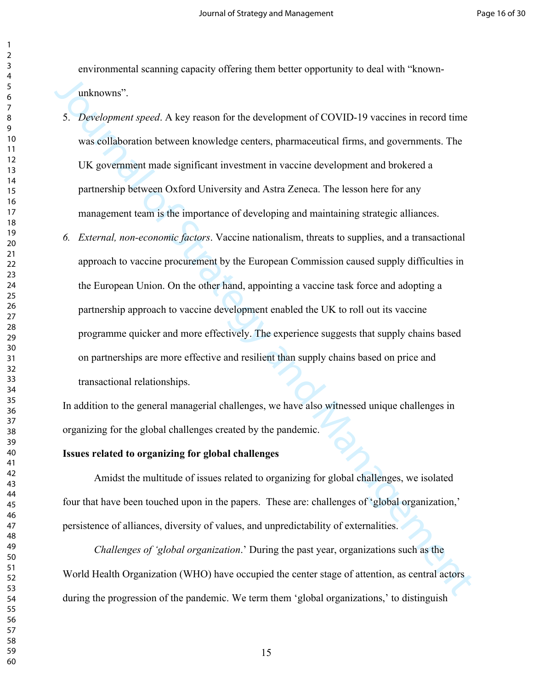environmental scanning capacity offering them better opportunity to deal with "knownunknowns".

- 5. *Development speed*. A key reason for the development of COVID-19 vaccines in record time was collaboration between knowledge centers, pharmaceutical firms, and governments. The UK government made significant investment in vaccine development and brokered a partnership between Oxford University and Astra Zeneca. The lesson here for any management team is the importance of developing and maintaining strategic alliances.
- 3. Development speecd. A key reason for the development of COVID-19 vaccines in record time<br>vas collaboration between knowledge centers, pharmaceutical firms, and governments. The<br>IIK government made significant investmen *6. External, non-economic factors*. Vaccine nationalism, threats to supplies, and a transactional approach to vaccine procurement by the European Commission caused supply difficulties in the European Union. On the other hand, appointing a vaccine task force and adopting a partnership approach to vaccine development enabled the UK to roll out its vaccine programme quicker and more effectively. The experience suggests that supply chains based on partnerships are more effective and resilient than supply chains based on price and transactional relationships.

In addition to the general managerial challenges, we have also witnessed unique challenges in organizing for the global challenges created by the pandemic.

#### **Issues related to organizing for global challenges**

Amidst the multitude of issues related to organizing for global challenges, we isolated four that have been touched upon in the papers. These are: challenges of 'global organization,' persistence of alliances, diversity of values, and unpredictability of externalities.

*Challenges of 'global organization*.' During the past year, organizations such as the World Health Organization (WHO) have occupied the center stage of attention, as central actors during the progression of the pandemic. We term them 'global organizations,' to distinguish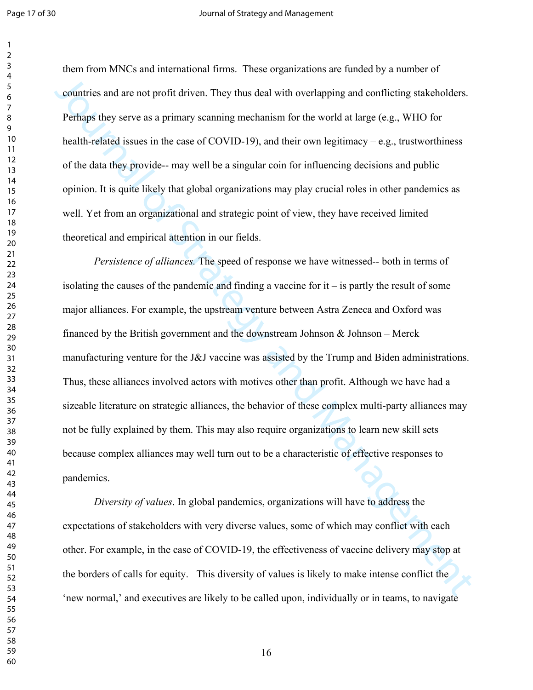#### Page 17 of 30 Journal of Strategy and Management

them from MNCs and international firms. These organizations are funded by a number of countries and are not profit driven. They thus deal with overlapping and conflicting stakeholders. Perhaps they serve as a primary scanning mechanism for the world at large (e.g., WHO for health-related issues in the case of COVID-19), and their own legitimacy – e.g., trustworthiness of the data they provide-- may well be a singular coin for influencing decisions and public opinion. It is quite likely that global organizations may play crucial roles in other pandemics as well. Yet from an organizational and strategic point of view, they have received limited theoretical and empirical attention in our fields.

countries and are not profit driven. They thus deal with overlapping and conflicting statesholders.<br>
Perhaps they serve as a primary seanning mechanism for the world at large (e.g., WHO for<br>
heuth-related issues in the ca *Persistence of alliances.* The speed of response we have witnessed-- both in terms of isolating the causes of the pandemic and finding a vaccine for it – is partly the result of some major alliances. For example, the upstream venture between Astra Zeneca and Oxford was financed by the British government and the downstream Johnson  $\&$  Johnson – Merck manufacturing venture for the J&J vaccine was assisted by the Trump and Biden administrations. Thus, these alliances involved actors with motives other than profit. Although we have had a sizeable literature on strategic alliances, the behavior of these complex multi-party alliances may not be fully explained by them. This may also require organizations to learn new skill sets because complex alliances may well turn out to be a characteristic of effective responses to pandemics.

*Diversity of values*. In global pandemics, organizations will have to address the expectations of stakeholders with very diverse values, some of which may conflict with each other. For example, in the case of COVID-19, the effectiveness of vaccine delivery may stop at the borders of calls for equity. This diversity of values is likely to make intense conflict the 'new normal,' and executives are likely to be called upon, individually or in teams, to navigate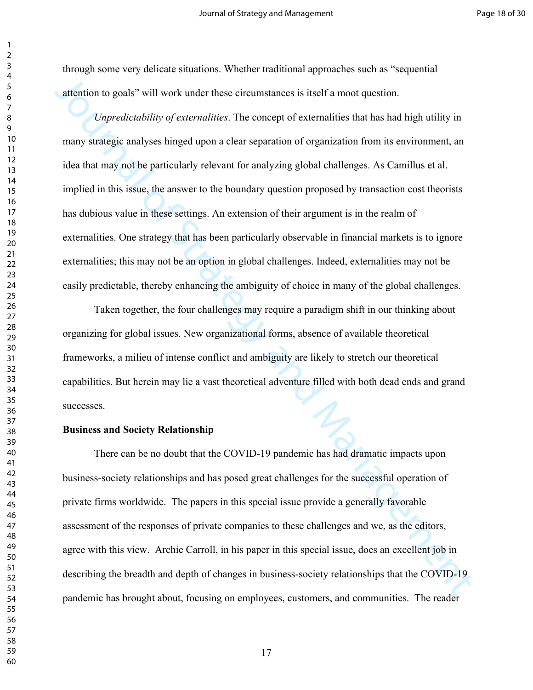through some very delicate situations. Whether traditional approaches such as "sequential attention to goals" will work under these circumstances is itself a moot question.

attention to goals" will work under these circumstances is itself a moot question.<br> *Unpredictability of externalities*. The concept of externalities that has had high utility in<br>
many strategie analyses hinged upon a clea *Unpredictability of externalities*. The concept of externalities that has had high utility in many strategic analyses hinged upon a clear separation of organization from its environment, an idea that may not be particularly relevant for analyzing global challenges. As Camillus et al. implied in this issue, the answer to the boundary question proposed by transaction cost theorists has dubious value in these settings. An extension of their argument is in the realm of externalities. One strategy that has been particularly observable in financial markets is to ignore externalities; this may not be an option in global challenges. Indeed, externalities may not be easily predictable, thereby enhancing the ambiguity of choice in many of the global challenges.

Taken together, the four challenges may require a paradigm shift in our thinking about organizing for global issues. New organizational forms, absence of available theoretical frameworks, a milieu of intense conflict and ambiguity are likely to stretch our theoretical capabilities. But herein may lie a vast theoretical adventure filled with both dead ends and grand successes.

#### **Business and Society Relationship**

There can be no doubt that the COVID-19 pandemic has had dramatic impacts upon business-society relationships and has posed great challenges for the successful operation of private firms worldwide. The papers in this special issue provide a generally favorable assessment of the responses of private companies to these challenges and we, as the editors, agree with this view. Archie Carroll, in his paper in this special issue, does an excellent job in describing the breadth and depth of changes in business-society relationships that the COVID-19 pandemic has brought about, focusing on employees, customers, and communities. The reader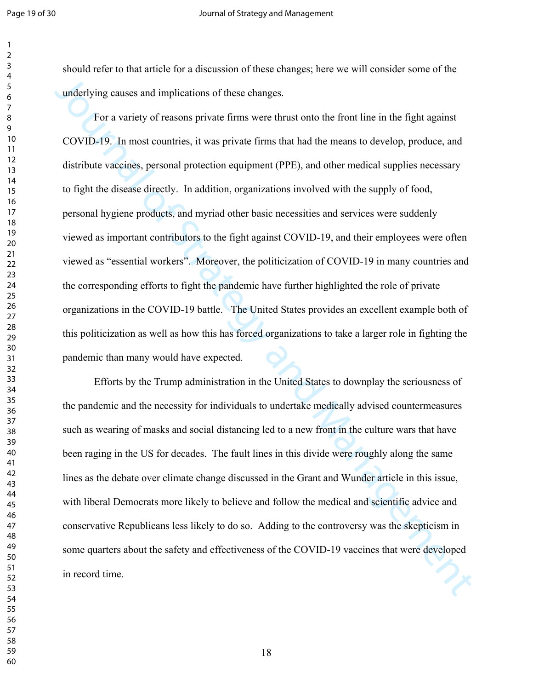should refer to that article for a discussion of these changes; here we will consider some of the underlying causes and implications of these changes.

underlying causes and implications of these changes.<br>
For a variety of reasons private firms were thrust onto the fond line in the fight against<br>
COVID-19. In most cauntries, it was private firms that had the means to deve For a variety of reasons private firms were thrust onto the front line in the fight against COVID-19. In most countries, it was private firms that had the means to develop, produce, and distribute vaccines, personal protection equipment (PPE), and other medical supplies necessary to fight the disease directly. In addition, organizations involved with the supply of food, personal hygiene products, and myriad other basic necessities and services were suddenly viewed as important contributors to the fight against COVID-19, and their employees were often viewed as "essential workers". Moreover, the politicization of COVID-19 in many countries and the corresponding efforts to fight the pandemic have further highlighted the role of private organizations in the COVID-19 battle. The United States provides an excellent example both of this politicization as well as how this has forced organizations to take a larger role in fighting the pandemic than many would have expected.

Efforts by the Trump administration in the United States to downplay the seriousness of the pandemic and the necessity for individuals to undertake medically advised countermeasures such as wearing of masks and social distancing led to a new front in the culture wars that have been raging in the US for decades. The fault lines in this divide were roughly along the same lines as the debate over climate change discussed in the Grant and Wunder article in this issue, with liberal Democrats more likely to believe and follow the medical and scientific advice and conservative Republicans less likely to do so. Adding to the controversy was the skepticism in some quarters about the safety and effectiveness of the COVID-19 vaccines that were developed in record time.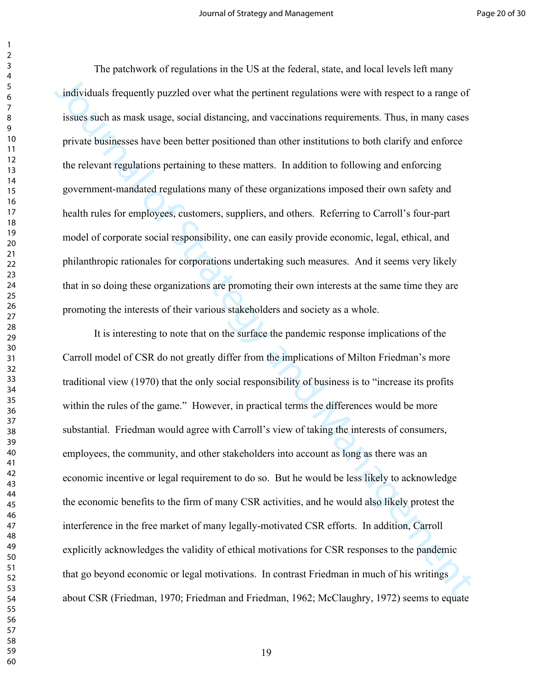The patchwork of regulations in the US at the federal, state, and local levels left many individuals frequently puzzled over what the pertinent regulations were with respect to a range of issues such as mask usage, social distancing, and vaccinations requirements. Thus, in many cases private businesses have been better positioned than other institutions to both clarify and enforce the relevant regulations pertaining to these matters. In addition to following and enforcing government-mandated regulations many of these organizations imposed their own safety and health rules for employees, customers, suppliers, and others. Referring to Carroll's four-part model of corporate social responsibility, one can easily provide economic, legal, ethical, and philanthropic rationales for corporations undertaking such measures. And it seems very likely that in so doing these organizations are promoting their own interests at the same time they are promoting the interests of their various stakeholders and society as a whole.

individuals frequently puzzled over what the pertinent regulations were with respect to a range of<br>issues such as mask usage, social distancing, and vaccinations requirements. Thus, in many cases<br>private businesses have be It is interesting to note that on the surface the pandemic response implications of the Carroll model of CSR do not greatly differ from the implications of Milton Friedman's more traditional view (1970) that the only social responsibility of business is to "increase its profits within the rules of the game." However, in practical terms the differences would be more substantial. Friedman would agree with Carroll's view of taking the interests of consumers, employees, the community, and other stakeholders into account as long as there was an economic incentive or legal requirement to do so. But he would be less likely to acknowledge the economic benefits to the firm of many CSR activities, and he would also likely protest the interference in the free market of many legally-motivated CSR efforts. In addition, Carroll explicitly acknowledges the validity of ethical motivations for CSR responses to the pandemic that go beyond economic or legal motivations. In contrast Friedman in much of his writings about CSR (Friedman, 1970; Friedman and Friedman, 1962; McClaughry, 1972) seems to equate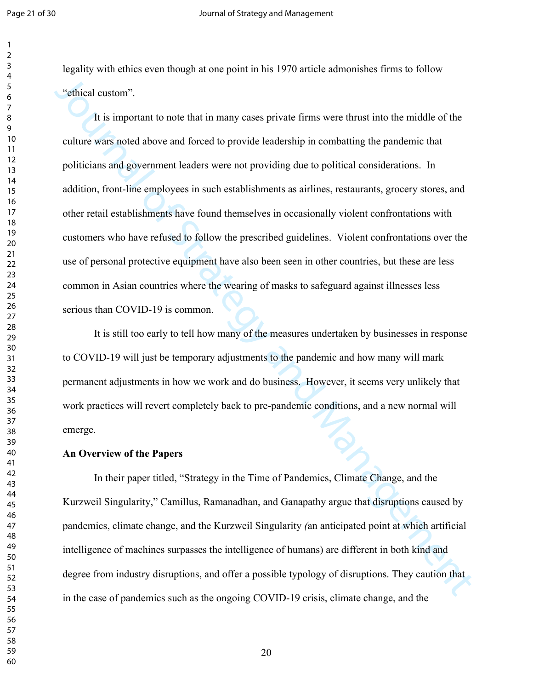legality with ethics even though at one point in his 1970 article admonishes firms to follow "ethical custom".

"ethical enstom".<br>
It is important to note that in many cases private firms were thrust into the middle of the<br>
culture wirs noted above and forced to provide leadership in combatting the paralemic that<br>
politicians and g It is important to note that in many cases private firms were thrust into the middle of the culture wars noted above and forced to provide leadership in combatting the pandemic that politicians and government leaders were not providing due to political considerations. In addition, front-line employees in such establishments as airlines, restaurants, grocery stores, and other retail establishments have found themselves in occasionally violent confrontations with customers who have refused to follow the prescribed guidelines. Violent confrontations over the use of personal protective equipment have also been seen in other countries, but these are less common in Asian countries where the wearing of masks to safeguard against illnesses less serious than COVID-19 is common.

It is still too early to tell how many of the measures undertaken by businesses in response to COVID-19 will just be temporary adjustments to the pandemic and how many will mark permanent adjustments in how we work and do business. However, it seems very unlikely that work practices will revert completely back to pre-pandemic conditions, and a new normal will emerge.

#### **An Overview of the Papers**

In their paper titled, "Strategy in the Time of Pandemics, Climate Change, and the Kurzweil Singularity," Camillus, Ramanadhan, and Ganapathy argue that disruptions caused by pandemics, climate change, and the Kurzweil Singularity *(*an anticipated point at which artificial intelligence of machines surpasses the intelligence of humans) are different in both kind and degree from industry disruptions, and offer a possible typology of disruptions. They caution that in the case of pandemics such as the ongoing COVID-19 crisis, climate change, and the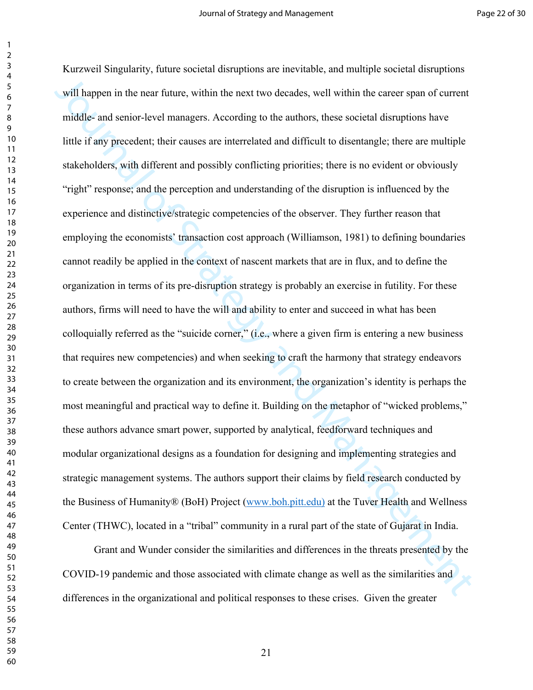will happen in the near future, within the next two decades. well within the career span of eurrent middle- and senior-level managers. According to the authors, these societal distuptions have hitle if any precedent; their Kurzweil Singularity, future societal disruptions are inevitable, and multiple societal disruptions will happen in the near future, within the next two decades, well within the career span of current middle- and senior-level managers. According to the authors, these societal disruptions have little if any precedent; their causes are interrelated and difficult to disentangle; there are multiple stakeholders, with different and possibly conflicting priorities; there is no evident or obviously "right" response; and the perception and understanding of the disruption is influenced by the experience and distinctive/strategic competencies of the observer. They further reason that employing the economists' transaction cost approach (Williamson, 1981) to defining boundaries cannot readily be applied in the context of nascent markets that are in flux, and to define the organization in terms of its pre-disruption strategy is probably an exercise in futility. For these authors, firms will need to have the will and ability to enter and succeed in what has been colloquially referred as the "suicide corner," (i.e., where a given firm is entering a new business that requires new competencies) and when seeking to craft the harmony that strategy endeavors to create between the organization and its environment, the organization's identity is perhaps the most meaningful and practical way to define it. Building on the metaphor of "wicked problems," these authors advance smart power, supported by analytical, feedforward techniques and modular organizational designs as a foundation for designing and implementing strategies and strategic management systems. The authors support their claims by field research conducted by the Business of Humanity® (BoH) Project (www.boh.pitt.edu) at the Tuver Health and Wellness Center (THWC), located in a "tribal" community in a rural part of the state of Gujarat in India.

Grant and Wunder consider the similarities and differences in the threats presented by the COVID-19 pandemic and those associated with climate change as well as the similarities and differences in the organizational and political responses to these crises. Given the greater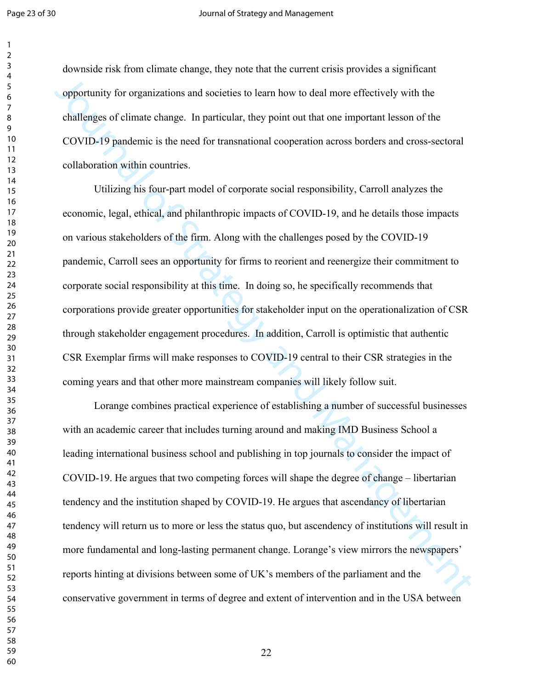#### Page 23 of 30 Journal of Strategy and Management

downside risk from climate change, they note that the current crisis provides a significant opportunity for organizations and societies to learn how to deal more effectively with the challenges of climate change. In particular, they point out that one important lesson of the COVID-19 pandemic is the need for transnational cooperation across borders and cross-sectoral collaboration within countries.

opportunity for organizations and societies to learn how to deal more effectively with the<br>challenges of climate change. In particular, they point out that one important lesson of the<br>COVID-19 pandermic is the meed for tra Utilizing his four-part model of corporate social responsibility, Carroll analyzes the economic, legal, ethical, and philanthropic impacts of COVID-19, and he details those impacts on various stakeholders of the firm. Along with the challenges posed by the COVID-19 pandemic, Carroll sees an opportunity for firms to reorient and reenergize their commitment to corporate social responsibility at this time. In doing so, he specifically recommends that corporations provide greater opportunities for stakeholder input on the operationalization of CSR through stakeholder engagement procedures. In addition, Carroll is optimistic that authentic CSR Exemplar firms will make responses to COVID-19 central to their CSR strategies in the coming years and that other more mainstream companies will likely follow suit.

Lorange combines practical experience of establishing a number of successful businesses with an academic career that includes turning around and making IMD Business School a leading international business school and publishing in top journals to consider the impact of COVID-19. He argues that two competing forces will shape the degree of change – libertarian tendency and the institution shaped by COVID-19. He argues that ascendancy of libertarian tendency will return us to more or less the status quo, but ascendency of institutions will result in more fundamental and long-lasting permanent change. Lorange's view mirrors the newspapers' reports hinting at divisions between some of UK's members of the parliament and the conservative government in terms of degree and extent of intervention and in the USA between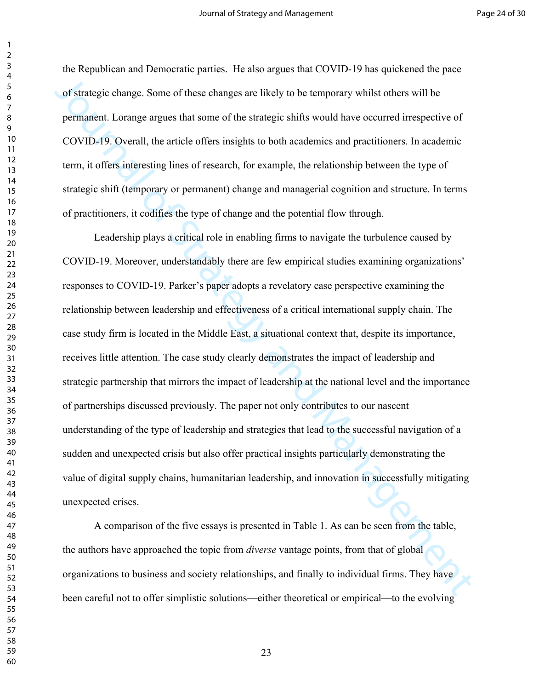the Republican and Democratic parties. He also argues that COVID-19 has quickened the pace of strategic change. Some of these changes are likely to be temporary whilst others will be permanent. Lorange argues that some of the strategic shifts would have occurred irrespective of COVID-19. Overall, the article offers insights to both academics and practitioners. In academic term, it offers interesting lines of research, for example, the relationship between the type of strategic shift (temporary or permanent) change and managerial cognition and structure. In terms of practitioners, it codifies the type of change and the potential flow through.

of strategic change. Some of these changes are tikely to be temporary whilst others will be permanent. Lorange arguess that some of the strategic shifts would have occurred irrespective of COVID-19. Overall, the urticle of Leadership plays a critical role in enabling firms to navigate the turbulence caused by COVID-19. Moreover, understandably there are few empirical studies examining organizations' responses to COVID-19. Parker's paper adopts a revelatory case perspective examining the relationship between leadership and effectiveness of a critical international supply chain. The case study firm is located in the Middle East, a situational context that, despite its importance, receives little attention. The case study clearly demonstrates the impact of leadership and strategic partnership that mirrors the impact of leadership at the national level and the importance of partnerships discussed previously. The paper not only contributes to our nascent understanding of the type of leadership and strategies that lead to the successful navigation of a sudden and unexpected crisis but also offer practical insights particularly demonstrating the value of digital supply chains, humanitarian leadership, and innovation in successfully mitigating unexpected crises.

A comparison of the five essays is presented in Table 1. As can be seen from the table, the authors have approached the topic from *diverse* vantage points, from that of global organizations to business and society relationships, and finally to individual firms. They have been careful not to offer simplistic solutions—either theoretical or empirical—to the evolving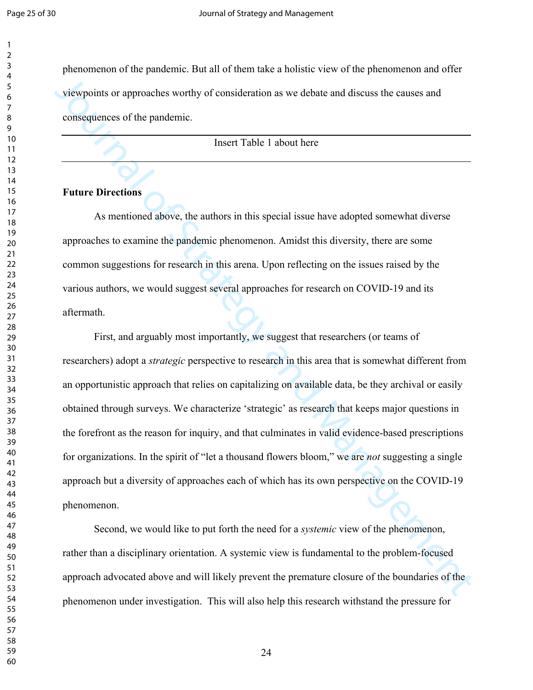phenomenon of the pandemic. But all of them take a holistic view of the phenomenon and offer viewpoints or approaches worthy of consideration as we debate and discuss the causes and consequences of the pandemic.

Insert Table 1 about here

#### **Future Directions**

As mentioned above, the authors in this special issue have adopted somewhat diverse approaches to examine the pandemic phenomenon. Amidst this diversity, there are some common suggestions for research in this arena. Upon reflecting on the issues raised by the various authors, we would suggest several approaches for research on COVID-19 and its aftermath.

viewpoints or approaches worthy of consideration as we debate and discuss the causes and<br>consequences of the pandemic.<br>Insert Table 1 about here<br><br>Insert Table 1 about here<br><br>Insert Table 1 about here<br><br>Insert Table 1 about h First, and arguably most importantly, we suggest that researchers (or teams of researchers) adopt a *strategic* perspective to research in this area that is somewhat different from an opportunistic approach that relies on capitalizing on available data, be they archival or easily obtained through surveys. We characterize 'strategic' as research that keeps major questions in the forefront as the reason for inquiry, and that culminates in valid evidence-based prescriptions for organizations. In the spirit of "let a thousand flowers bloom," we are *not* suggesting a single approach but a diversity of approaches each of which has its own perspective on the COVID-19 phenomenon.

Second, we would like to put forth the need for a *systemic* view of the phenomenon, rather than a disciplinary orientation. A systemic view is fundamental to the problem-focused approach advocated above and will likely prevent the premature closure of the boundaries of the phenomenon under investigation. This will also help this research withstand the pressure for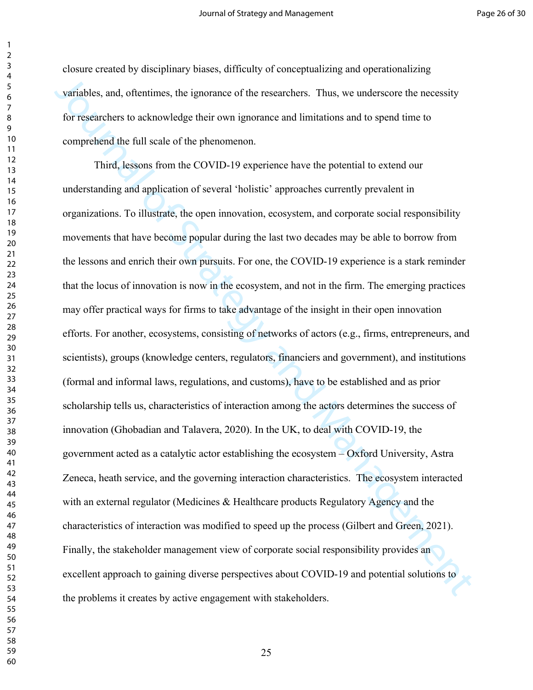closure created by disciplinary biases, difficulty of conceptualizing and operationalizing variables, and, oftentimes, the ignorance of the researchers. Thus, we underscore the necessity for researchers to acknowledge their own ignorance and limitations and to spend time to comprehend the full scale of the phenomenon.

variables, and, oftentimes, the ignorance of the researchers. Thus, we underscore the necessity<br>for researchers to ocknowledge their own ignorance and limitations and to spend time to<br>comprehend the full scale of the pheno Third, lessons from the COVID-19 experience have the potential to extend our understanding and application of several 'holistic' approaches currently prevalent in organizations. To illustrate, the open innovation, ecosystem, and corporate social responsibility movements that have become popular during the last two decades may be able to borrow from the lessons and enrich their own pursuits. For one, the COVID-19 experience is a stark reminder that the locus of innovation is now in the ecosystem, and not in the firm. The emerging practices may offer practical ways for firms to take advantage of the insight in their open innovation efforts. For another, ecosystems, consisting of networks of actors (e.g., firms, entrepreneurs, and scientists), groups (knowledge centers, regulators, financiers and government), and institutions (formal and informal laws, regulations, and customs), have to be established and as prior scholarship tells us, characteristics of interaction among the actors determines the success of innovation (Ghobadian and Talavera, 2020). In the UK, to deal with COVID-19, the government acted as a catalytic actor establishing the ecosystem – Oxford University, Astra Zeneca, heath service, and the governing interaction characteristics. The ecosystem interacted with an external regulator (Medicines & Healthcare products Regulatory Agency and the characteristics of interaction was modified to speed up the process (Gilbert and Green, 2021). Finally, the stakeholder management view of corporate social responsibility provides an excellent approach to gaining diverse perspectives about COVID-19 and potential solutions to the problems it creates by active engagement with stakeholders.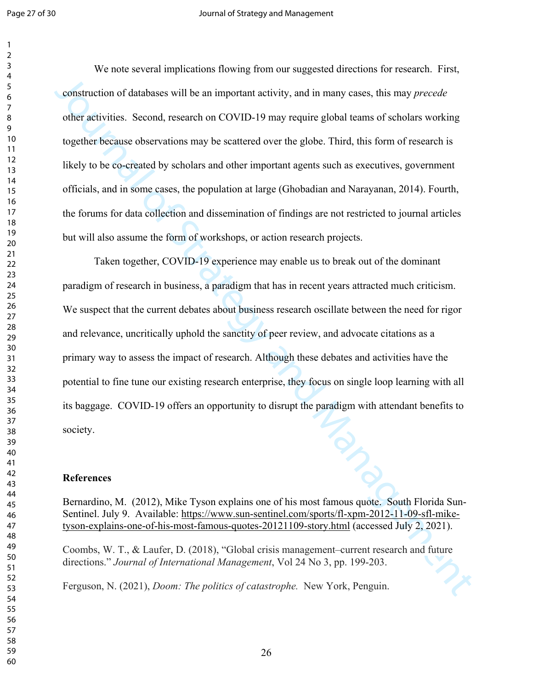We note several implications flowing from our suggested directions for research. First, construction of databases will be an important activity, and in many cases, this may *precede* other activities. Second, research on COVID-19 may require global teams of scholars working together because observations may be scattered over the globe. Third, this form of research is likely to be co-created by scholars and other important agents such as executives, government officials, and in some cases, the population at large (Ghobadian and Narayanan, 2014). Fourth, the forums for data collection and dissemination of findings are not restricted to journal articles but will also assume the form of workshops, or action research projects.

construction of databases will be an important activity, and in many cases, this may *procede*<br>other activities. Second, research on COVID-19 may require global teams of scholars working<br>together because observations may Taken together, COVID-19 experience may enable us to break out of the dominant paradigm of research in business, a paradigm that has in recent years attracted much criticism. We suspect that the current debates about business research oscillate between the need for rigor and relevance, uncritically uphold the sanctity of peer review, and advocate citations as a primary way to assess the impact of research. Although these debates and activities have the potential to fine tune our existing research enterprise, they focus on single loop learning with all its baggage. COVID-19 offers an opportunity to disrupt the paradigm with attendant benefits to society.

## **References**

Bernardino, M. (2012), Mike Tyson explains one of his most famous quote. South Florida Sun-Sentinel. July 9. Available: https://www.sun-sentinel.com/sports/fl-xpm-2012-11-09-sfl-miketyson-explains-one-of-his-most-famous-quotes-20121109-story.html (accessed July 2, 2021).

Coombs, W. T., & Laufer, D. (2018), "Global crisis management–current research and future directions." *Journal of International Management*, Vol 24 No 3, pp. 199-203.

Ferguson, N. (2021), *Doom: The politics of catastrophe.* New York, Penguin.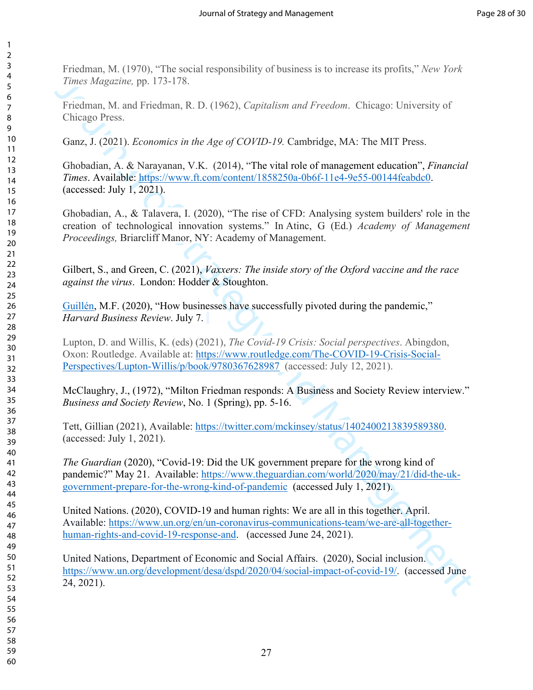Friedman, M. (1970), "The social responsibility of business is to increase its profits," *New York Times Magazine,* pp. 173-178.

Friedman, M. and Friedman, R. D. (1962), *Capitalism and Freedom*. Chicago: University of Chicago Press.

Ganz, J. (2021). *Economics in the Age of COVID-19.* Cambridge, MA: The MIT Press.

Ghobadian, A. & Narayanan, V.K. (2014), "The vital role of management education", *Financial Times*. Available: https://www.ft.com/content/1858250a-0b6f-11e4-9e55-00144feabdc0. (accessed: July 1, 2021).

*Times [Ma](https://twitter.com/mckinsey/status/1402400213839589380)gazine,* pp. 173-178.<br>
Friedman, M. and Friedman, R. D. (1962), Capit[al](https://www.ft.com/content/1858250a-0b6f-11e4-9e55-00144feabdc0)ism and Freedom. Chicago. University of<br>
Cricago, Press.<br>
Chicago, Press.<br>
Chicago, Press.<br>
Ganz, J. (2021). *Economics in the Age of COVID-1* Ghobadian, A., & Talavera, I. (2020), "The rise of CFD: Analysing system builders' role in the creation of technological innovation systems." In Atinc, G (Ed.) *Academy of Management Proceedings,* Briarcliff Manor, NY: Academy of Management.

Gilbert, S., and Green, C. (2021), *Vaxxers: The inside story of the Oxford vaccine and the race against the virus*. London: Hodder & Stoughton.

Guillén, M.F. (2020), "How businesses have successfully pivoted during the pandemic," *Harvard Business Review*. July 7.

Lupton, D. and Willis, K. (eds) (2021), *The Covid-19 Crisis: Social perspectives*. Abingdon, Oxon: Routledge. Available at: https://www.routledge.com/The-COVID-19-Crisis-Social-Perspectives/Lupton-Willis/p/book/9780367628987 (accessed: July 12, 2021).

McClaughry, J., (1972), "Milton Friedman responds: A Business and Society Review interview." *Business and Society Review*, No. 1 (Spring), pp. 5-16.

Tett, Gillian (2021), Available: https://twitter.com/mckinsey/status/1402400213839589380. (accessed: July 1, 2021).

*The Guardian* (2020), "Covid-19: Did the UK government prepare for the wrong kind of pandemic?" May 21. Available: https://www.theguardian.com/world/2020/may/21/did-the-ukgovernment-prepare-for-the-wrong-kind-of-pandemic (accessed July 1, 2021).

United Nations. (2020), COVID-19 and human rights: We are all in this together. April. Available: https://www.un.org/en/un-coronavirus-communications-team/we-are-all-togetherhuman-rights-and-covid-19-response-and. (accessed June 24, 2021).

United Nations, Department of Economic and Social Affairs. (2020), Social inclusion. https://www.un.org/development/desa/dspd/2020/04/social-impact-of-covid-19/. (accessed June 24, 2021).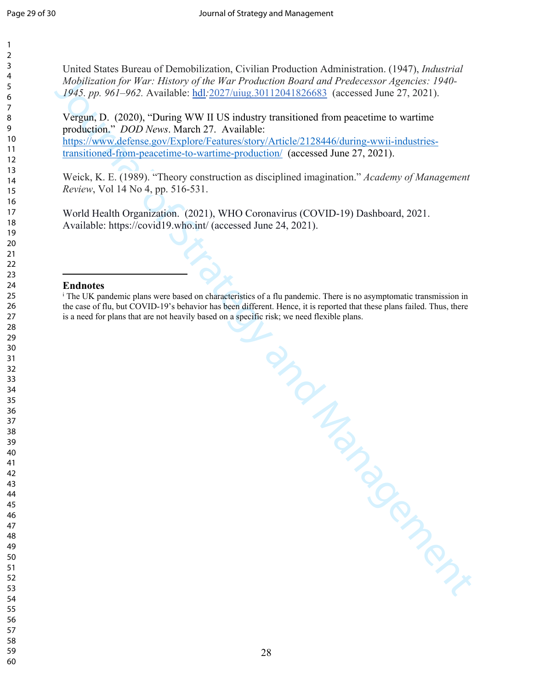United States Bureau of Demobilization, Civilian Production Administration. (1947), *Industrial Mobilization for War: History of the War Production Board and Predecessor Agencies: 1940- 1945. pp. 961–962.* Available: hdl*:*2027/uiug.30112041826683 (accessed June 27, 2021).

*Mobilization [6]* War: History of the War Production Board and Predecessor Agencies: 1946-1943, pp. 961–962. Novible's hell 2027/wing 30112041826683 (accessed of the 27, 2021). Vergan, D. (2020), "During WW II US industr Vergun, D. (2020), "During WW II US industry transitioned from peacetime to wartime production." *DOD News*. March 27. Available: https://www.defense.gov/Explore/Features/story/Article/2128446/during-wwii-industries-

transitioned-from-peacetime-to-wartime-production/ (accessed June 27, 2021).

Weick, K. E. (1989). "Theory construction as disciplined imagination." *Academy of Management Review*, Vol 14 No 4, pp. 516-531.

World Health Organization. (2021), WHO Coronavirus (COVID-19) Dashboard, 2021. Available: https://covid19.who.int/ (accessed June 24, 2021).

#### **Endnotes**

i The UK pandemic plans were based on characteristics of a flu pandemic. There is no asymptomatic transmission in the case of flu, but COVID-19's behavior has been different. Hence, it is reported that these plans failed. Thus, there is a need for plans that are not heavily based on a specific risk; we need flexible plans.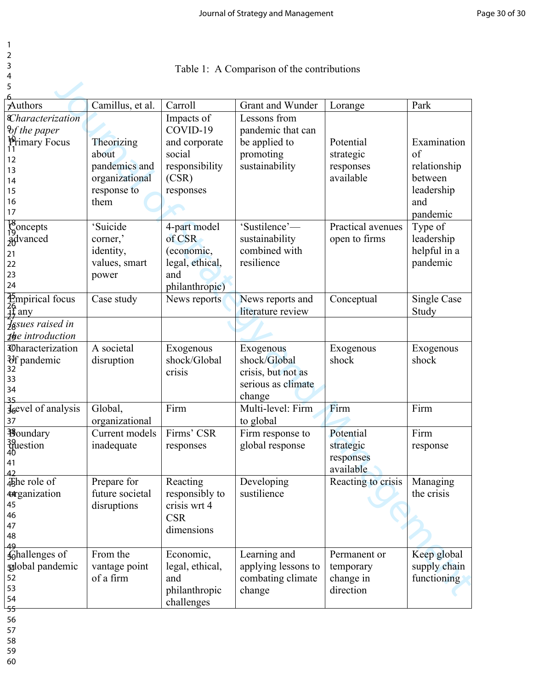| ۰  |
|----|
| ۰. |

- 3
- 4 5

| 4                                      |                  |                        |                     |                    |              |
|----------------------------------------|------------------|------------------------|---------------------|--------------------|--------------|
| 5                                      |                  |                        |                     |                    |              |
| Authors                                | Camillus, et al. | Carroll                | Grant and Wunder    | Lorange            | Park         |
| <i><u><b>Characterization</b></u></i>  |                  | Impacts of             | Lessons from        |                    |              |
| $\vartheta$ f the paper                |                  | COVID-19               | pandemic that can   |                    |              |
| <b>Primary Focus</b><br>11             | Theorizing       | and corporate          | be applied to       | Potential          | Examination  |
|                                        | about            | social                 | promoting           | strategic          | of           |
| 12                                     | pandemics and    | responsibility         | sustainability      | responses          | relationship |
| 13                                     | organizational   | (CSR)                  |                     | available          | between      |
| 14<br>15                               | response to      | responses              |                     |                    | leadership   |
| 16                                     | them             |                        |                     |                    | and          |
| 17                                     |                  |                        |                     |                    | pandemic     |
|                                        | 'Suicide         |                        | 'Sustilence'-       | Practical avenues  |              |
| $\begin{bmatrix} 8 \\ 9 \end{bmatrix}$ |                  | 4-part model<br>of CSR |                     |                    | Type of      |
| advanced                               | corner,'         |                        | sustainability      | open to firms      | leadership   |
| 21                                     | identity,        | (economic,             | combined with       |                    | helpful in a |
| 22                                     | values, smart    | legal, ethical,        | resilience          |                    | pandemic     |
| 23                                     | power            | and                    |                     |                    |              |
| 24                                     |                  | philanthropic)         |                     |                    |              |
| $\frac{26}{15}$ any                    | Case study       | News reports           | News reports and    | Conceptual         | Single Case  |
|                                        |                  |                        | literature review   |                    | Study        |
| Issues raised in                       |                  |                        |                     |                    |              |
| $\mathbf{I}$ <b>b</b> e introduction   |                  |                        |                     |                    |              |
| <b>Characterization</b>                | A societal       | Exogenous              | Exogenous           | Exogenous          | Exogenous    |
| $\frac{3}{32}$ pandemic                | disruption       | shock/Global           | shock/Global        | shock              | shock        |
|                                        |                  | crisis                 | crisis, but not as  |                    |              |
| 33<br>34                               |                  |                        | serious as climate  |                    |              |
|                                        |                  |                        | change              |                    |              |
| J <sub>6</sub> evel of analysis        | Global,          | Firm                   | Multi-level: Firm   | Firm               | Firm         |
| 37                                     | organizational   |                        | to global           |                    |              |
| <b>B</b> oundary                       | Current models   | Firms' CSR             | Firm response to    | Potential          | Firm         |
| question <sup>1</sup>                  | inadequate       | responses              | global response     | strategic          | response     |
|                                        |                  |                        |                     | responses          |              |
| 41                                     |                  |                        |                     | available          |              |
| 42<br>45he role of                     | Prepare for      | Reacting               | Developing          | Reacting to crisis | Managing     |
| 4 arganization                         | future societal  | responsibly to         | sustilience         |                    | the crisis   |
| 45                                     | disruptions      | crisis wrt 4           |                     |                    |              |
| 46                                     |                  | <b>CSR</b>             |                     |                    |              |
| 47                                     |                  | dimensions             |                     |                    |              |
| 48                                     |                  |                        |                     |                    |              |
| 49                                     | From the         |                        |                     |                    |              |
| ghallenges of                          |                  | Economic,              | Learning and        | Permanent or       | Keep global  |
| galobal pandemic                       | vantage point    | legal, ethical,        | applying lessons to | temporary          | supply chain |
| 52<br>53                               | of a firm        | and                    | combating climate   | change in          | functioning  |
| 54                                     |                  | philanthropic          | change              | direction          |              |
|                                        |                  | challenges             |                     |                    |              |

56

57

58

59